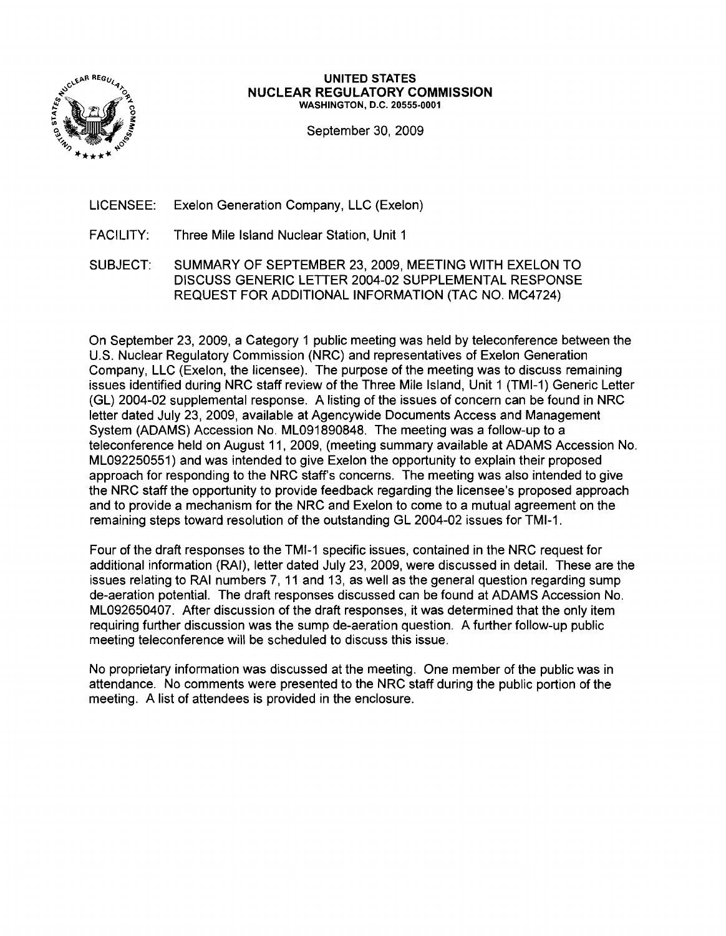

#### **UNITED STATES NUCLEAR REGULATORY COMMISSION** WASHINGTON, D.C. 20555-0001

September 30, 2009

- LICENSEE: Exelon Generation Company, LLC (Exelon)
- FACILITY: Three Mile Island Nuclear Station, Unit 1
- SUBJECT: SUMMARY OF SEPTEMBER 23, 2009, MEETING WITH EXELON TO DISCUSS GENERIC LETTER 2004-02 SUPPLEMENTAL RESPONSE REQUEST FOR ADDITIONAL INFORMATION (TAC NO. MC4724)

On September 23, 2009, a Category 1 public meeting was held by teleconference between the U.S. Nuclear Regulatory Commission (NRC) and representatives of Exelon Generation Company, LLC (Exelon, the licensee). The purpose of the meeting was to discuss remaining issues identified during NRC staff review of the Three Mile Island, Unit 1 (TMI-1) Generic Letter (GL) 2004-02 supplemental response. A listing of the issues of concern can be found in NRC letter dated July 23,2009, available at Agencywide Documents Access and Management System (ADAMS) Accession No. ML091890848. The meeting was a follow-up to a teleconference held on August 11, 2009, (meeting summary available at ADAMS Accession No. ML092250551) and was intended to give Exelon the opportunity to explain their proposed approach for responding to the NRC staff's concerns. The meeting was also intended to give the NRC staff the opportunity to provide feedback regarding the licensee's proposed approach and to provide a mechanism for the NRC and Exelon to come to a mutual agreement on the remaining steps toward resolution of the outstanding GL 2004-02 issues for TMI-1.

Four of the draft responses to the TMI-1 specific issues, contained in the NRC request for additional information (RAI), letter dated July 23, 2009, were discussed in detail. These are the issues relating to RAI numbers 7, 11 and 13, as well as the general question regarding sump de-aeration potential. The draft responses discussed can be found at ADAMS Accession No. ML092650407. After discussion of the draft responses, it was determined that the only item requiring further discussion was the sump de-aeration question. A further follow-up public meeting teleconference will be scheduled to discuss this issue.

No proprietary information was discussed at the meeting. One member of the public was in attendance. No comments were presented to the NRC staff during the public portion of the meeting. A list of attendees is provided in the enclosure.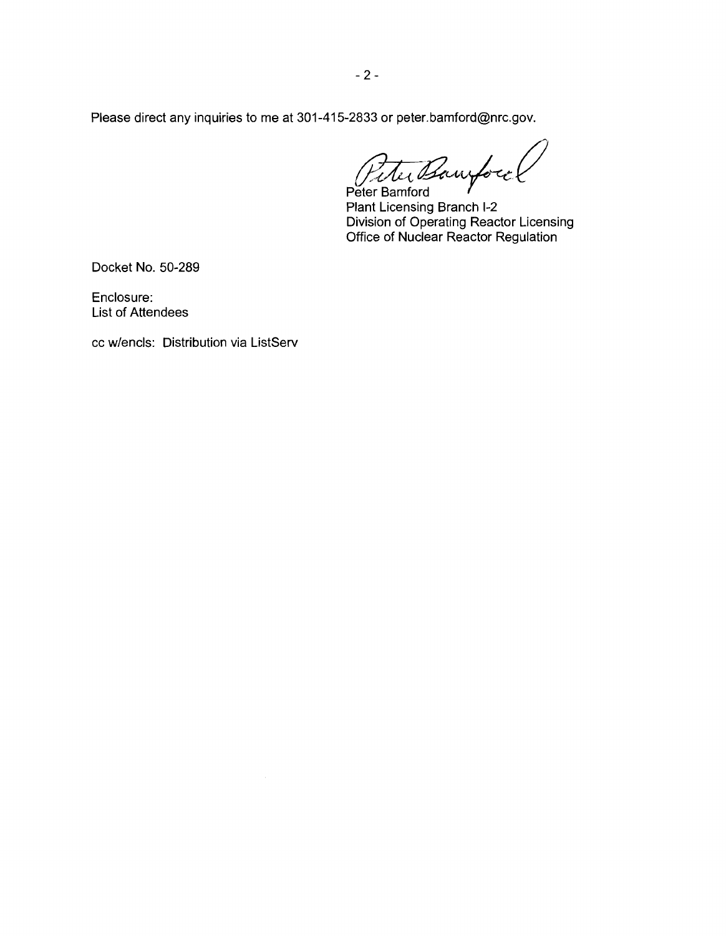Please direct any inquiries to me at 301-415-2833 or peter.bamford@nrc.gov.

Peter Barrytoco *, J.VIII estados E.*<br>Peter Bamford

Plant Licensing Branch 1-2 Division of Operating Reactor Licensing Office of Nuclear Reactor Regulation

Docket No. 50-289

Enclosure: List of Attendees

cc w/encls: Distribution via ListServ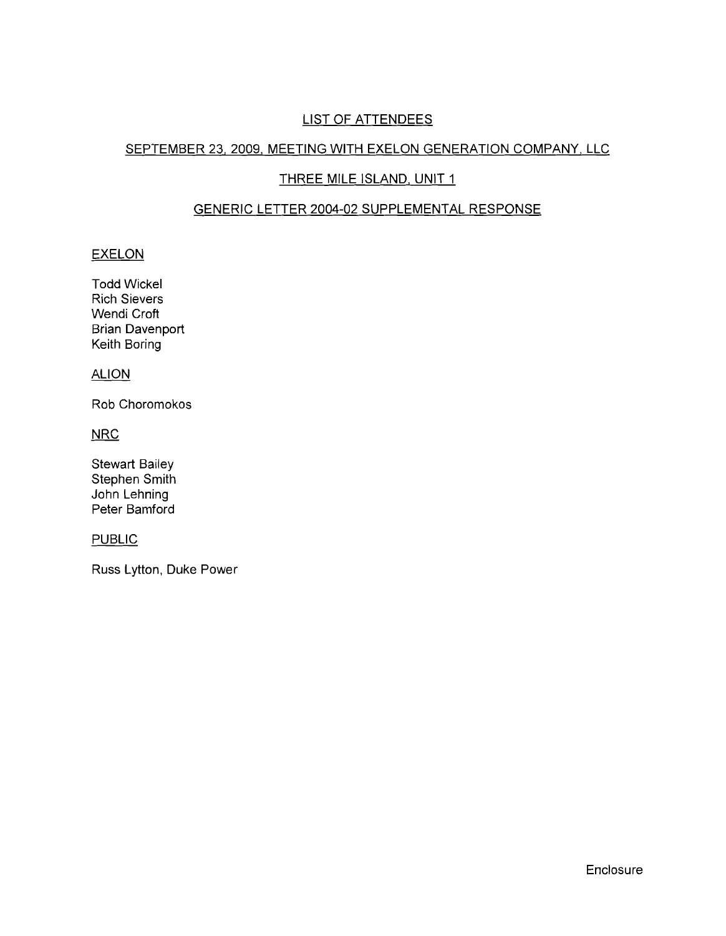# LIST OF ATTENDEES

# SEPTEMBER 23,2009, MEETING WITH EXELON GENERATION COMPANY, LLC

# THREE MILE ISLAND, UNIT 1

# GENERIC LETTER 2004-02 SUPPLEMENTAL RESPONSE

## **EXELON**

Todd Wickel Rich Sievers Wendi Croft Brian Davenport Keith Boring

### **ALION**

Rob Choromokos

**NRC** 

Stewart Bailey Stephen Smith John Lehning Peter Bamford

### PUBLIC

Russ Lytton, Duke Power